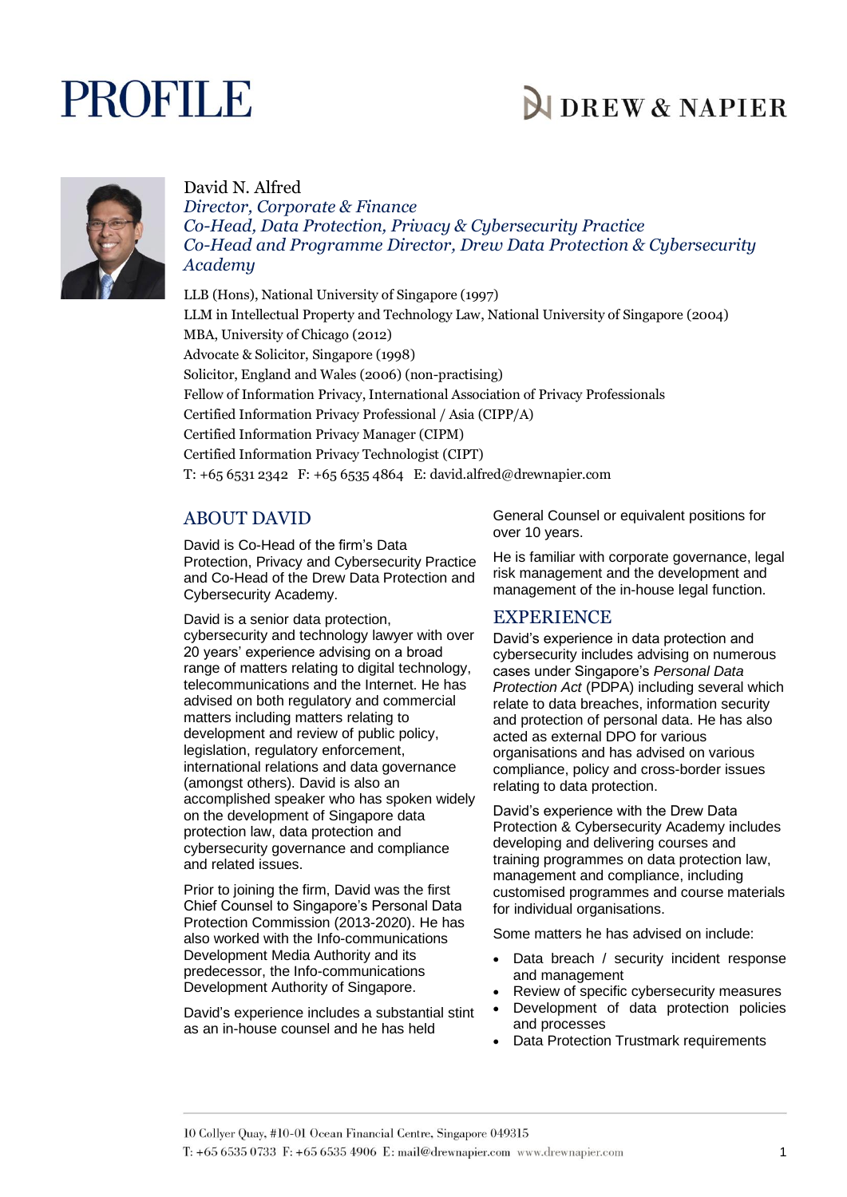# **PROFILE**

## **NDREW & NAPIER**



#### David N. Alfred

*Director, Corporate & Finance Co-Head, Data Protection, Privacy & Cybersecurity Practice Co-Head and Programme Director, Drew Data Protection & Cybersecurity Academy*

LLB (Hons), National University of Singapore (1997) LLM in Intellectual Property and Technology Law, National University of Singapore (2004) MBA, University of Chicago (2012) Advocate & Solicitor, Singapore (1998) Solicitor, England and Wales (2006) (non-practising) Fellow of Information Privacy, International Association of Privacy Professionals Certified Information Privacy Professional / Asia (CIPP/A) Certified Information Privacy Manager (CIPM) Certified Information Privacy Technologist (CIPT) T: +65 6531 2342 F: +65 6535 4864 E: david.alfred@drewnapier.com

### ABOUT DAVID

David is Co-Head of the firm's Data Protection, Privacy and Cybersecurity Practice and Co-Head of the Drew Data Protection and Cybersecurity Academy.

David is a senior data protection, cybersecurity and technology lawyer with over 20 years' experience advising on a broad range of matters relating to digital technology, telecommunications and the Internet. He has advised on both regulatory and commercial matters including matters relating to development and review of public policy, legislation, regulatory enforcement, international relations and data governance (amongst others). David is also an accomplished speaker who has spoken widely on the development of Singapore data protection law, data protection and cybersecurity governance and compliance and related issues.

Prior to joining the firm, David was the first Chief Counsel to Singapore's Personal Data Protection Commission (2013-2020). He has also worked with the Info-communications Development Media Authority and its predecessor, the Info-communications Development Authority of Singapore.

David's experience includes a substantial stint as an in-house counsel and he has held

General Counsel or equivalent positions for over 10 years.

He is familiar with corporate governance, legal risk management and the development and management of the in-house legal function.

#### **EXPERIENCE**

David's experience in data protection and cybersecurity includes advising on numerous cases under Singapore's *Personal Data Protection Act* (PDPA) including several which relate to data breaches, information security and protection of personal data. He has also acted as external DPO for various organisations and has advised on various compliance, policy and cross-border issues relating to data protection.

David's experience with the Drew Data Protection & Cybersecurity Academy includes developing and delivering courses and training programmes on data protection law, management and compliance, including customised programmes and course materials for individual organisations.

Some matters he has advised on include:

- Data breach / security incident response and management
- Review of specific cybersecurity measures
- Development of data protection policies and processes
- Data Protection Trustmark requirements